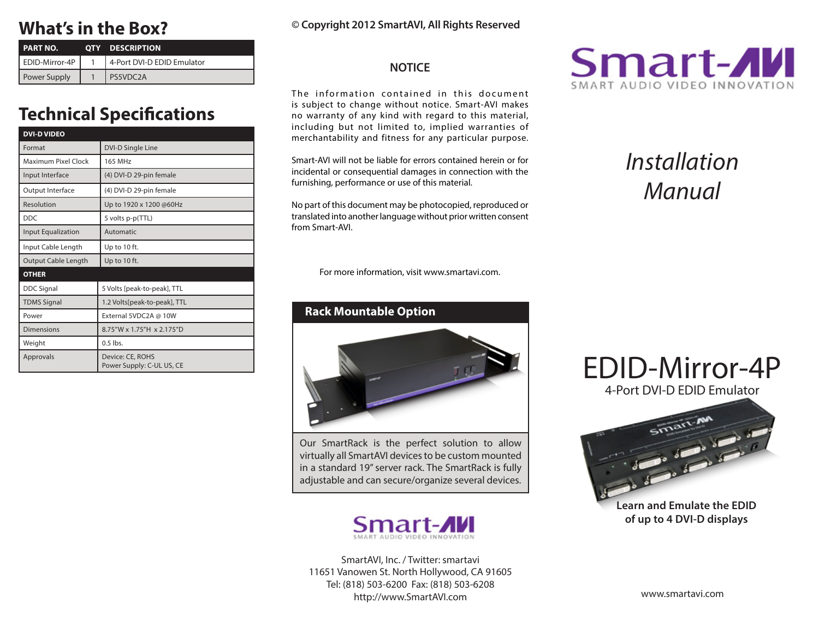# **What's in the Box?**

| <b>PART NO.</b> | <b>OTY DESCRIPTION</b>     |  |
|-----------------|----------------------------|--|
| EDID-Mirror-4P  | 4-Port DVI-D EDID Emulator |  |
| Power Supply    | PS5VDC2A                   |  |

# **Technical Specifications**

| <b>DVI-D VIDEO</b>         |                                               |  |  |  |
|----------------------------|-----------------------------------------------|--|--|--|
| Format                     | <b>DVI-D Single Line</b>                      |  |  |  |
| Maximum Pixel Clock        | <b>165 MHz</b>                                |  |  |  |
| Input Interface            | (4) DVI-D 29-pin female                       |  |  |  |
| Output Interface           | (4) DVI-D 29-pin female                       |  |  |  |
| Resolution                 | Up to 1920 x 1200 @60Hz                       |  |  |  |
| <b>DDC</b>                 | 5 volts p-p(TTL)                              |  |  |  |
| <b>Input Equalization</b>  | Automatic                                     |  |  |  |
| Input Cable Length         | Up to 10 ft.                                  |  |  |  |
| <b>Output Cable Length</b> | Up to 10 ft.                                  |  |  |  |
| <b>OTHER</b>               |                                               |  |  |  |
| <b>DDC Signal</b>          | 5 Volts [peak-to-peak], TTL                   |  |  |  |
| <b>TDMS Signal</b>         | 1.2 Volts[peak-to-peak], TTL                  |  |  |  |
| Power                      | External 5VDC2A @ 10W                         |  |  |  |
| <b>Dimensions</b>          | 8.75"W x 1.75"H x 2.175"D                     |  |  |  |
| Weight                     | $0.5$ lbs.                                    |  |  |  |
| Approvals                  | Device: CE, ROHS<br>Power Supply: C-UL US, CE |  |  |  |

### **© Copyright 2012 SmartAVI, All Rights Reserved**

### **NOTICE**

The information contained in this document is subject to change without notice. Smart-AVI makes no warranty of any kind with regard to this material, including but not limited to, implied warranties of merchantability and fitness for any particular purpose.

Smart-AVI will not be liable for errors contained herein or for incidental or consequential damages in connection with the furnishing, performance or use of this material.

No part of this document may be photocopied, reproduced or translated into another language without prior written consent from Smart-AVI.

For more information, visit www.smartavi.com.

### **Rack Mountable Option**



Our SmartRack is the perfect solution to allow virtually all SmartAVI devices to be custom mounted in a standard 19" server rack. The SmartRack is fully adjustable and can secure/organize several devices.



SmartAVI, Inc. / Twitter: smartavi 11651 Vanowen St. North Hollywood, CA 91605 Tel: (818) 503-6200 Fax: (818) 503-6208 http://www.SmartAVI.com



# *Installation Manual*





**Learn and Emulate the EDID of up to 4 DVI-D displays**